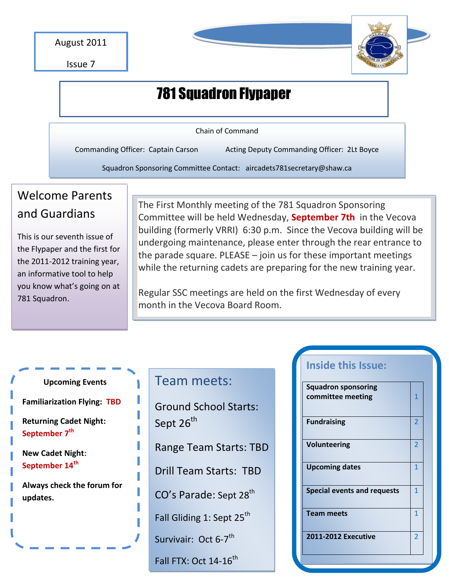

Issue 7

# 781 Squadron Flypaper

Chain of Command

Commanding Officer: Captain Carson Acting Deputy Commanding Officer: 2Lt Boyce

Squadron Sponsoring Committee Contact: aircadets781secretary@shaw.ca

## Welcome Parents and Guardians

This is our seventh issue of the Flypaper and the first for the 2011-2012 training year, an informative tool to help you know what's going on at 781 Squadron.

The First Monthly meeting of the 781 Squadron Sponsoring Committee will be held Wednesday, **September 7th** in the Vecova building (formerly VRRI) 6:30 p.m. Since the Vecova building will be undergoing maintenance, please enter through the rear entrance to the parade square. PLEASE – join us for these important meetings while the returning cadets are preparing for the new training year.

Regular SSC meetings are held on the first Wednesday of every month in the Vecova Board Room.

#### **Upcoming Events**

**Familiarization Flying: TBD**

**Returning Cadet Night: September 7th**

#### **New Cadet Night: September 14th**

**Always check the forum for updates.**

### Team meets:

Ground School Starts: Sept 26<sup>th</sup>

Range Team Starts: TBD

Drill Team Starts: TBD

CO's Parade: Sept 28<sup>th</sup>

Fall Gliding 1: Sept  $25<sup>th</sup>$ 

Survivair: Oct 6-7<sup>th</sup>

Fall FTX: Oct  $14-16^{th}$ 

### **Inside this Issue:**

| <b>Squadron sponsoring</b>         |                |
|------------------------------------|----------------|
| committee meeting                  | 1              |
|                                    |                |
| <b>Fundraising</b>                 | 2              |
|                                    |                |
| <b>Volunteering</b>                | 2              |
|                                    |                |
| <b>Upcoming dates</b>              | $\mathbf 1$    |
|                                    |                |
| <b>Special events and requests</b> | 1              |
|                                    |                |
| <b>Team meets</b>                  | 1              |
|                                    |                |
| <b>2011-2012 Executive</b>         | $\overline{2}$ |
|                                    |                |
|                                    |                |